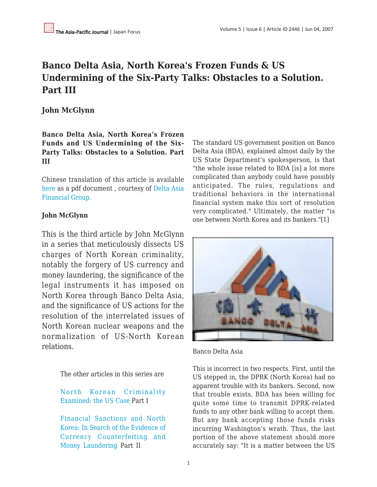# **Banco Delta Asia, North Korea's Frozen Funds & US Undermining of the Six-Party Talks: Obstacles to a Solution. Part III**

# **John McGlynn**

**Banco Delta Asia, North Korea's Frozen Funds and US Undermining of the Six-Party Talks: Obstacles to a Solution. Part III**

Chinese translation of this article is available [here](https://apjjf.org/data/Japan Focus chi-9June07.pdf) as a pdf document , courtesy of [Delta Asia](http://www.delta-asia.com/eng/index.asp) [Financial Group.](http://www.delta-asia.com/eng/index.asp)

# **John McGlynn**

This is the third article by John McGlynn in a series that meticulously dissects US charges of North Korean criminality, notably the forgery of US currency and money laundering, the significance of the legal instruments it has imposed on North Korea through Banco Delta Asia, and the significance of US actions for the resolution of the interrelated issues of North Korean nuclear weapons and the normalization of US-North Korean relations.

The other articles in this series are

[North Korean Criminality](http://japanfocus.org/products/details/2423) [Examined: the US Case](http://japanfocus.org/products/details/2423) Part I

[Financial Sanctions and North](http://japanfocus.org/products/details/2463) [Korea: In Search of the Evidence of](http://japanfocus.org/products/details/2463) [Currency Counterfeiting and](http://japanfocus.org/products/details/2463) [Money Laundering P](http://japanfocus.org/products/details/2463)art II

The standard US government position on Banco Delta Asia (BDA), explained almost daily by the US State Department's spokesperson, is that "the whole issue related to BDA [is] a lot more complicated than anybody could have possibly anticipated. The rules, regulations and traditional behaviors in the international financial system make this sort of resolution very complicated." Ultimately, the matter "is one between North Korea and its bankers."[1]



Banco Delta Asia

This is incorrect in two respects. First, until the US stepped in, the DPRK (North Korea) had no apparent trouble with its bankers. Second, now that trouble exists, BDA has been willing for quite some time to transmit DPRK-related funds to any other bank willing to accept them. But any bank accepting those funds risks incurring Washington's wrath. Thus, the last portion of the above statement should more accurately say: "It is a matter between the US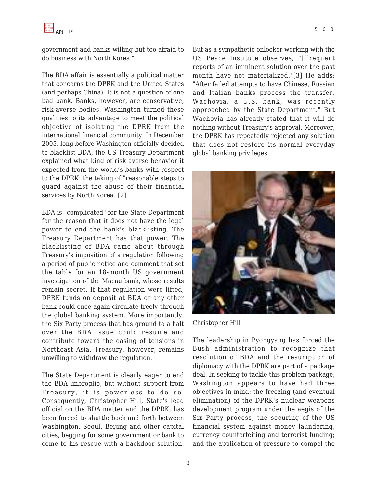government and banks willing but too afraid to do business with North Korea."

The BDA affair is essentially a political matter that concerns the DPRK and the United States (and perhaps China). It is not a question of one bad bank. Banks, however, are conservative, risk-averse bodies. Washington turned these qualities to its advantage to meet the political objective of isolating the DPRK from the international financial community. In December 2005, long before Washington officially decided to blacklist BDA, the US Treasury Department explained what kind of risk averse behavior it expected from the world's banks with respect to the DPRK: the taking of "reasonable steps to guard against the abuse of their financial services by North Korea."[2]

BDA is "complicated" for the State Department for the reason that it does not have the legal power to end the bank's blacklisting. The Treasury Department has that power. The blacklisting of BDA came about through Treasury's imposition of a regulation following a period of public notice and comment that set the table for an 18-month US government investigation of the Macau bank, whose results remain secret. If that regulation were lifted, DPRK funds on deposit at BDA or any other bank could once again circulate freely through the global banking system. More importantly, the Six Party process that has ground to a halt over the BDA issue could resume and contribute toward the easing of tensions in Northeast Asia. Treasury, however, remains unwilling to withdraw the regulation.

The State Department is clearly eager to end the BDA imbroglio, but without support from Treasury, it is powerless to do so. Consequently, Christopher Hill, State's lead official on the BDA matter and the DPRK, has been forced to shuttle back and forth between Washington, Seoul, Beijing and other capital cities, begging for some government or bank to come to his rescue with a backdoor solution.

But as a sympathetic onlooker working with the US Peace Institute observes, "[f]requent reports of an imminent solution over the past month have not materialized."[3] He adds: "After failed attempts to have Chinese, Russian and Italian banks process the transfer, Wachovia, a U.S. bank, was recently approached by the State Department." But Wachovia has already stated that it will do nothing without Treasury's approval. Moreover, the DPRK has repeatedly rejected any solution that does not restore its normal everyday global banking privileges.



Christopher Hill

The leadership in Pyongyang has forced the Bush administration to recognize that resolution of BDA and the resumption of diplomacy with the DPRK are part of a package deal. In seeking to tackle this problem package, Washington appears to have had three objectives in mind: the freezing (and eventual elimination) of the DPRK's nuclear weapons development program under the aegis of the Six Party process; the securing of the US financial system against money laundering, currency counterfeiting and terrorist funding; and the application of pressure to compel the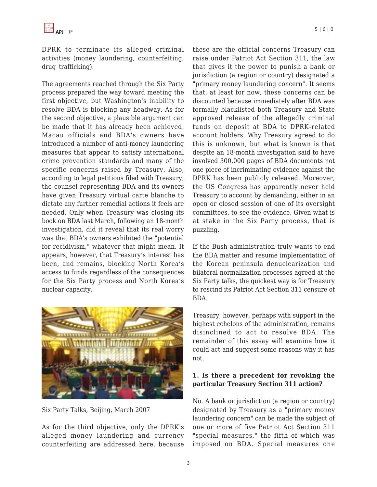DPRK to terminate its alleged criminal activities (money laundering, counterfeiting, drug trafficking).

The agreements reached through the Six Party process prepared the way toward meeting the first objective, but Washington's inability to resolve BDA is blocking any headway. As for the second objective, a plausible argument can be made that it has already been achieved. Macau officials and BDA's owners have introduced a number of anti-money laundering measures that appear to satisfy international crime prevention standards and many of the specific concerns raised by Treasury. Also, according to legal petitions filed with Treasury, the counsel representing BDA and its owners have given Treasury virtual carte blanche to dictate any further remedial actions it feels are needed. Only when Treasury was closing its book on BDA last March, following an 18-month investigation, did it reveal that its real worry was that BDA's owners exhibited the "potential for recidivism," whatever that might mean. It appears, however, that Treasury's interest has been, and remains, blocking North Korea's access to funds regardless of the consequences for the Six Party process and North Korea's nuclear capacity.



Six Party Talks, Beijing, March 2007

As for the third objective, only the DPRK's alleged money laundering and currency counterfeiting are addressed here, because these are the official concerns Treasury can raise under Patriot Act Section 311, the law that gives it the power to punish a bank or jurisdiction (a region or country) designated a "primary money laundering concern". It seems that, at least for now, these concerns can be discounted because immediately after BDA was formally blacklisted both Treasury and State approved release of the allegedly criminal funds on deposit at BDA to DPRK-related account holders. Why Treasury agreed to do this is unknown, but what is known is that despite an 18-month investigation said to have involved 300,000 pages of BDA documents not one piece of incriminating evidence against the DPRK has been publicly released. Moreover, the US Congress has apparently never held Treasury to account by demanding, either in an open or closed session of one of its oversight committees, to see the evidence. Given what is at stake in the Six Party process, that is puzzling.

If the Bush administration truly wants to end the BDA matter and resume implementation of the Korean peninsula denuclearization and bilateral normalization processes agreed at the Six Party talks, the quickest way is for Treasury to rescind its Patriot Act Section 311 censure of BDA.

Treasury, however, perhaps with support in the highest echelons of the administration, remains disinclined to act to resolve BDA. The remainder of this essay will examine how it could act and suggest some reasons why it has not.

# **1. Is there a precedent for revoking the particular Treasury Section 311 action?**

No. A bank or jurisdiction (a region or country) designated by Treasury as a "primary money laundering concern" can be made the subject of one or more of five Patriot Act Section 311 "special measures," the fifth of which was imposed on BDA. Special measures one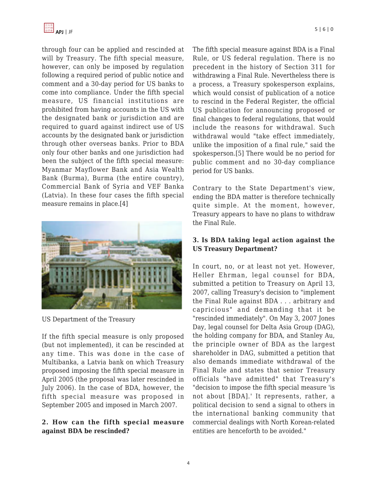

through four can be applied and rescinded at will by Treasury. The fifth special measure, however, can only be imposed by regulation following a required period of public notice and comment and a 30-day period for US banks to come into compliance. Under the fifth special measure, US financial institutions are prohibited from having accounts in the US with the designated bank or jurisdiction and are required to guard against indirect use of US accounts by the designated bank or jurisdiction through other overseas banks. Prior to BDA only four other banks and one jurisdiction had been the subject of the fifth special measure: Myanmar Mayflower Bank and Asia Wealth Bank (Burma), Burma (the entire country), Commercial Bank of Syria and VEF Banka (Latvia). In these four cases the fifth special measure remains in place.[4]



US Department of the Treasury

If the fifth special measure is only proposed (but not implemented), it can be rescinded at any time. This was done in the case of Multibanka, a Latvia bank on which Treasury proposed imposing the fifth special measure in April 2005 (the proposal was later rescinded in July 2006). In the case of BDA, however, the fifth special measure was proposed in September 2005 and imposed in March 2007.

# **2. How can the fifth special measure against BDA be rescinded?**

The fifth special measure against BDA is a Final Rule, or US federal regulation. There is no precedent in the history of Section 311 for withdrawing a Final Rule. Nevertheless there is a process, a Treasury spokesperson explains, which would consist of publication of a notice to rescind in the Federal Register, the official US publication for announcing proposed or final changes to federal regulations, that would include the reasons for withdrawal. Such withdrawal would "take effect immediately, unlike the imposition of a final rule," said the spokesperson.[5] There would be no period for public comment and no 30-day compliance period for US banks.

Contrary to the State Department's view, ending the BDA matter is therefore technically quite simple. At the moment, however, Treasury appears to have no plans to withdraw the Final Rule.

# **3. Is BDA taking legal action against the US Treasury Department?**

In court, no, or at least not yet. However, Heller Ehrman, legal counsel for BDA, submitted a petition to Treasury on April 13, 2007, calling Treasury's decision to "implement the Final Rule against BDA . . . arbitrary and capricious" and demanding that it be "rescinded immediately". On May 3, 2007 Jones Day, legal counsel for Delta Asia Group (DAG), the holding company for BDA, and Stanley Au, the principle owner of BDA as the largest shareholder in DAG, submitted a petition that also demands immediate withdrawal of the Final Rule and states that senior Treasury officials "have admitted" that Treasury's "decision to impose the fifth special measure 'is not about [BDA].' It represents, rather, a political decision to send a signal to others in the international banking community that commercial dealings with North Korean-related entities are henceforth to be avoided."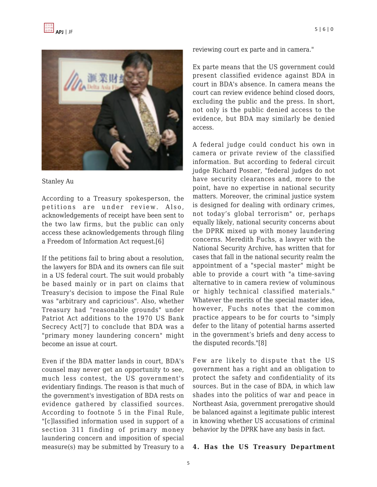

#### Stanley Au

According to a Treasury spokesperson, the petitions are under review. Also, acknowledgements of receipt have been sent to the two law firms, but the public can only access these acknowledgements through filing a Freedom of Information Act request.[6]

If the petitions fail to bring about a resolution, the lawyers for BDA and its owners can file suit in a US federal court. The suit would probably be based mainly or in part on claims that Treasury's decision to impose the Final Rule was "arbitrary and capricious". Also, whether Treasury had "reasonable grounds" under Patriot Act additions to the 1970 US Bank Secrecy Act[7] to conclude that BDA was a "primary money laundering concern" might become an issue at court.

Even if the BDA matter lands in court, BDA's counsel may never get an opportunity to see, much less contest, the US government's evidentiary findings. The reason is that much of the government's investigation of BDA rests on evidence gathered by classified sources. According to footnote 5 in the Final Rule, "[c]lassified information used in support of a section 311 finding of primary money laundering concern and imposition of special measure(s) may be submitted by Treasury to a reviewing court ex parte and in camera."

Ex parte means that the US government could present classified evidence against BDA in court in BDA's absence. In camera means the court can review evidence behind closed doors, excluding the public and the press. In short, not only is the public denied access to the evidence, but BDA may similarly be denied access.

A federal judge could conduct his own in camera or private review of the classified information. But according to federal circuit judge Richard Posner, "federal judges do not have security clearances and, more to the point, have no expertise in national security matters. Moreover, the criminal justice system is designed for dealing with ordinary crimes, not today's global terrorism" or, perhaps equally likely, national security concerns about the DPRK mixed up with money laundering concerns. Meredith Fuchs, a lawyer with the National Security Archive, has written that for cases that fall in the national security realm the appointment of a "special master" might be able to provide a court with "a time-saving alternative to in camera review of voluminous or highly technical classified materials." Whatever the merits of the special master idea, however, Fuchs notes that the common practice appears to be for courts to "simply defer to the litany of potential harms asserted in the government's briefs and deny access to the disputed records."[8]

Few are likely to dispute that the US government has a right and an obligation to protect the safety and confidentiality of its sources. But in the case of BDA, in which law shades into the politics of war and peace in Northeast Asia, government prerogative should be balanced against a legitimate public interest in knowing whether US accusations of criminal behavior by the DPRK have any basis in fact.

#### **4. Has the US Treasury Department**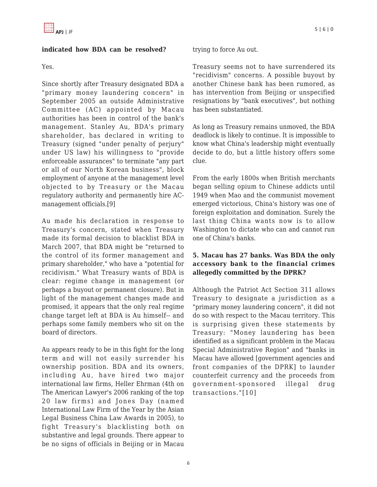# **indicated how BDA can be resolved?**

Yes.

Since shortly after Treasury designated BDA a "primary money laundering concern" in September 2005 an outside Administrative Committee (AC) appointed by Macau authorities has been in control of the bank's management. Stanley Au, BDA's primary shareholder, has declared in writing to Treasury (signed "under penalty of perjury" under US law) his willingness to "provide enforceable assurances" to terminate "any part or all of our North Korean business", block employment of anyone at the management level objected to by Treasury or the Macau regulatory authority and permanently hire ACmanagement officials.[9]

Au made his declaration in response to Treasury's concern, stated when Treasury made its formal decision to blacklist BDA in March 2007, that BDA might be "returned to the control of its former management and primary shareholder," who have a "potential for recidivism." What Treasury wants of BDA is clear: regime change in management (or perhaps a buyout or permanent closure). But in light of the management changes made and promised, it appears that the only real regime change target left at BDA is Au himself-- and perhaps some family members who sit on the board of directors.

Au appears ready to be in this fight for the long term and will not easily surrender his ownership position. BDA and its owners, including Au, have hired two major international law firms, Heller Ehrman (4th on The American Lawyer's 2006 ranking of the top 20 law firms) and Jones Day (named International Law Firm of the Year by the Asian Legal Business China Law Awards in 2005), to fight Treasury's blacklisting both on substantive and legal grounds. There appear to be no signs of officials in Beijing or in Macau trying to force Au out.

Treasury seems not to have surrendered its "recidivism" concerns. A possible buyout by another Chinese bank has been rumored, as has intervention from Beijing or unspecified resignations by "bank executives", but nothing has been substantiated.

As long as Treasury remains unmoved, the BDA deadlock is likely to continue. It is impossible to know what China's leadership might eventually decide to do, but a little history offers some clue.

From the early 1800s when British merchants began selling opium to Chinese addicts until 1949 when Mao and the communist movement emerged victorious, China's history was one of foreign exploitation and domination. Surely the last thing China wants now is to allow Washington to dictate who can and cannot run one of China's banks.

# **5. Macau has 27 banks. Was BDA the only accessory bank to the financial crimes allegedly committed by the DPRK?**

Although the Patriot Act Section 311 allows Treasury to designate a jurisdiction as a "primary money laundering concern", it did not do so with respect to the Macau territory. This is surprising given these statements by Treasury: "Money laundering has been identified as a significant problem in the Macau Special Administrative Region" and "banks in Macau have allowed [government agencies and front companies of the DPRK] to launder counterfeit currency and the proceeds from government-sponsored illegal drug transactions."[10]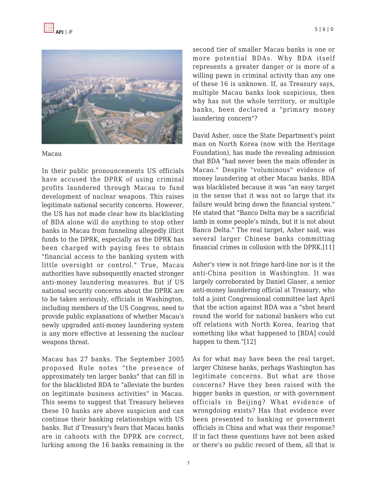

Macau

In their public pronouncements US officials have accused the DPRK of using criminal profits laundered through Macau to fund development of nuclear weapons. This raises legitimate national security concerns. However, the US has not made clear how its blacklisting of BDA alone will do anything to stop other banks in Macau from funneling allegedly illicit funds to the DPRK, especially as the DPRK has been charged with paying fees to obtain "financial access to the banking system with little oversight or control." True, Macau authorities have subsequently enacted stronger anti-money laundering measures. But if US national security concerns about the DPRK are to be taken seriously, officials in Washington, including members of the US Congress, need to provide public explanations of whether Macau's newly upgraded anti-money laundering system is any more effective at lessening the nuclear weapons threat.

Macau has 27 banks. The September 2005 proposed Rule notes "the presence of approximately ten larger banks" that can fill in for the blacklisted BDA to "alleviate the burden on legitimate business activities" in Macau. This seems to suggest that Treasury believes these 10 banks are above suspicion and can continue their banking relationships with US banks. But if Treasury's fears that Macau banks are in cahoots with the DPRK are correct, lurking among the 16 banks remaining in the

second tier of smaller Macau banks is one or more potential BDAs. Why BDA itself represents a greater danger or is more of a willing pawn in criminal activity than any one of these 16 is unknown. If, as Treasury says, multiple Macau banks look suspicious, then why has not the whole territory, or multiple banks, been declared a "primary money laundering concern"?

David Asher, once the State Department's point man on North Korea (now with the Heritage Foundation), has made the revealing admission that BDA "had never been the main offender in Macao." Despite "voluminous" evidence of money laundering at other Macau banks, BDA was blacklisted because it was "an easy target in the sense that it was not so large that its failure would bring down the financial system." He stated that "Banco Delta may be a sacrificial lamb in some people's minds, but it is not about Banco Delta." The real target, Asher said, was several larger Chinese banks committing financial crimes in collusion with the DPRK.[11]

Asher's view is not fringe hard-line nor is it the anti-China position in Washington. It was largely corroborated by Daniel Glaser, a senior anti-money laundering official at Treasury, who told a joint Congressional committee last April that the action against BDA was a "shot heard round the world for national bankers who cut off relations with North Korea, fearing that something like what happened to [BDA] could happen to them."[12]

As for what may have been the real target, larger Chinese banks, perhaps Washington has legitimate concerns. But what are those concerns? Have they been raised with the bigger banks in question, or with government officials in Beijing? What evidence of wrongdoing exists? Has that evidence ever been presented to banking or government officials in China and what was their response? If in fact these questions have not been asked or there's no public record of them, all that is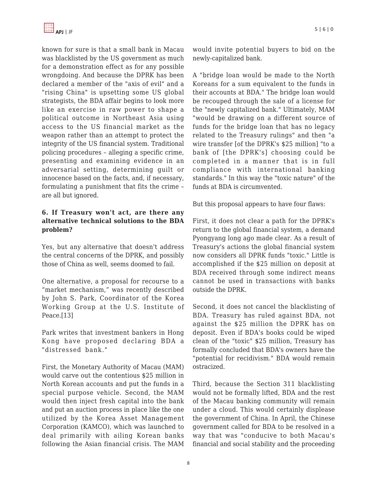known for sure is that a small bank in Macau was blacklisted by the US government as much for a demonstration effect as for any possible wrongdoing. And because the DPRK has been declared a member of the "axis of evil" and a "rising China" is upsetting some US global strategists, the BDA affair begins to look more like an exercise in raw power to shape a political outcome in Northeast Asia using access to the US financial market as the weapon rather than an attempt to protect the integrity of the US financial system. Traditional policing procedures – alleging a specific crime, presenting and examining evidence in an adversarial setting, determining guilt or innocence based on the facts, and, if necessary, formulating a punishment that fits the crime – are all but ignored.

### **6. If Treasury won't act, are there any alternative technical solutions to the BDA problem?**

Yes, but any alternative that doesn't address the central concerns of the DPRK, and possibly those of China as well, seems doomed to fail.

One alternative, a proposal for recourse to a "market mechanism," was recently described by John S. Park, Coordinator of the Korea Working Group at the U.S. Institute of Peace.<sup>[13]</sup>

Park writes that investment bankers in Hong Kong have proposed declaring BDA a "distressed bank."

First, the Monetary Authority of Macau (MAM) would carve out the contentious \$25 million in North Korean accounts and put the funds in a special purpose vehicle. Second, the MAM would then inject fresh capital into the bank and put an auction process in place like the one utilized by the Korea Asset Management Corporation (KAMCO), which was launched to deal primarily with ailing Korean banks following the Asian financial crisis. The MAM would invite potential buyers to bid on the newly-capitalized bank.

A "bridge loan would be made to the North Koreans for a sum equivalent to the funds in their accounts at BDA." The bridge loan would be recouped through the sale of a license for the "newly capitalized bank." Ultimately, MAM "would be drawing on a different source of funds for the bridge loan that has no legacy related to the Treasury rulings" and then "a wire transfer [of the DPRK's \$25 million] "to a bank of [the DPRK's] choosing could be completed in a manner that is in full compliance with international banking standards." In this way the "toxic nature" of the funds at BDA is circumvented.

But this proposal appears to have four flaws:

First, it does not clear a path for the DPRK's return to the global financial system, a demand Pyongyang long ago made clear. As a result of Treasury's actions the global financial system now considers all DPRK funds "toxic." Little is accomplished if the \$25 million on deposit at BDA received through some indirect means cannot be used in transactions with banks outside the DPRK.

Second, it does not cancel the blacklisting of BDA. Treasury has ruled against BDA, not against the \$25 million the DPRK has on deposit. Even if BDA's books could be wiped clean of the "toxic" \$25 million, Treasury has formally concluded that BDA's owners have the "potential for recidivism." BDA would remain ostracized.

Third, because the Section 311 blacklisting would not be formally lifted, BDA and the rest of the Macau banking community will remain under a cloud. This would certainly displease the government of China. In April, the Chinese government called for BDA to be resolved in a way that was "conducive to both Macau's financial and social stability and the proceeding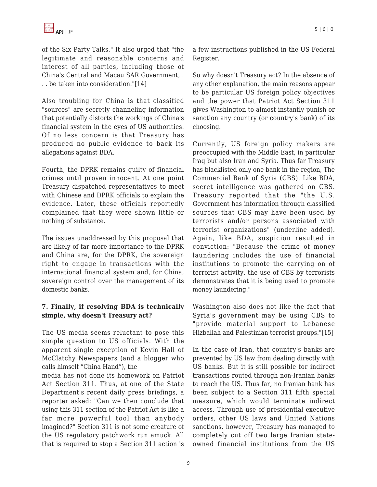of the Six Party Talks." It also urged that "the legitimate and reasonable concerns and interest of all parties, including those of China's Central and Macau SAR Government, . . . be taken into consideration."[14]

Also troubling for China is that classified "sources" are secretly channeling information that potentially distorts the workings of China's financial system in the eyes of US authorities. Of no less concern is that Treasury has produced no public evidence to back its allegations against BDA.

Fourth, the DPRK remains guilty of financial crimes until proven innocent. At one point Treasury dispatched representatives to meet with Chinese and DPRK officials to explain the evidence. Later, these officials reportedly complained that they were shown little or nothing of substance.

The issues unaddressed by this proposal that are likely of far more importance to the DPRK and China are, for the DPRK, the sovereign right to engage in transactions with the international financial system and, for China, sovereign control over the management of its domestic banks.

# **7. Finally, if resolving BDA is technically simple, why doesn't Treasury act?**

The US media seems reluctant to pose this simple question to US officials. With the apparent single exception of Kevin Hall of McClatchy Newspapers (and a blogger who calls himself "China Hand"), the

media has not done its homework on Patriot Act Section 311. Thus, at one of the State Department's recent daily press briefings, a reporter asked: "Can we then conclude that using this 311 section of the Patriot Act is like a far more powerful tool than anybody imagined?" Section 311 is not some creature of the US regulatory patchwork run amuck. All that is required to stop a Section 311 action is a few instructions published in the US Federal Register.

So why doesn't Treasury act? In the absence of any other explanation, the main reasons appear to be particular US foreign policy objectives and the power that Patriot Act Section 311 gives Washington to almost instantly punish or sanction any country (or country's bank) of its choosing.

Currently, US foreign policy makers are preoccupied with the Middle East, in particular Iraq but also Iran and Syria. Thus far Treasury has blacklisted only one bank in the region, The Commercial Bank of Syria (CBS). Like BDA, secret intelligence was gathered on CBS. Treasury reported that the "the U.S. Government has information through classified sources that CBS may have been used by terrorists and/or persons associated with terrorist organizations" (underline added). Again, like BDA, suspicion resulted in conviction: "Because the crime of money laundering includes the use of financial institutions to promote the carrying on of terrorist activity, the use of CBS by terrorists demonstrates that it is being used to promote money laundering."

Washington also does not like the fact that Syria's government may be using CBS to "provide material support to Lebanese Hizballah and Palestinian terrorist groups."[15]

In the case of Iran, that country's banks are prevented by US law from dealing directly with US banks. But it is still possible for indirect transactions routed through non-Iranian banks to reach the US. Thus far, no Iranian bank has been subject to a Section 311 fifth special measure, which would terminate indirect access. Through use of presidential executive orders, other US laws and United Nations sanctions, however, Treasury has managed to completely cut off two large Iranian stateowned financial institutions from the US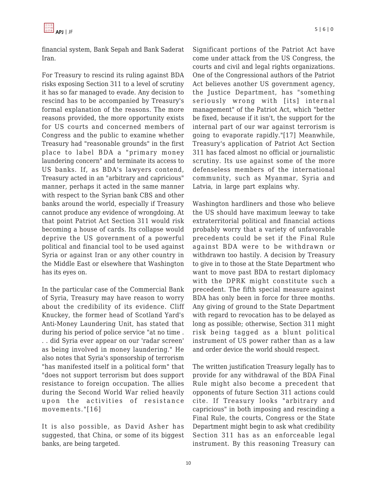financial system, Bank Sepah and Bank Saderat Iran.

For Treasury to rescind its ruling against BDA risks exposing Section 311 to a level of scrutiny it has so far managed to evade. Any decision to rescind has to be accompanied by Treasury's formal explanation of the reasons. The more reasons provided, the more opportunity exists for US courts and concerned members of Congress and the public to examine whether Treasury had "reasonable grounds" in the first place to label BDA a "primary money laundering concern" and terminate its access to US banks. If, as BDA's lawyers contend, Treasury acted in an "arbitrary and capricious" manner, perhaps it acted in the same manner with respect to the Syrian bank CBS and other banks around the world, especially if Treasury cannot produce any evidence of wrongdoing. At that point Patriot Act Section 311 would risk becoming a house of cards. Its collapse would deprive the US government of a powerful political and financial tool to be used against Syria or against Iran or any other country in the Middle East or elsewhere that Washington has its eyes on.

In the particular case of the Commercial Bank of Syria, Treasury may have reason to worry about the credibility of its evidence. Cliff Knuckey, the former head of Scotland Yard's Anti-Money Laundering Unit, has stated that during his period of police service "at no time . . . did Syria ever appear on our 'radar screen' as being involved in money laundering." He also notes that Syria's sponsorship of terrorism "has manifested itself in a political form" that "does not support terrorism but does support resistance to foreign occupation. The allies during the Second World War relied heavily upon the activities of resistance movements."[16]

It is also possible, as David Asher has suggested, that China, or some of its biggest banks, are being targeted.

Significant portions of the Patriot Act have come under attack from the US Congress, the courts and civil and legal rights organizations. One of the Congressional authors of the Patriot Act believes another US government agency, the Justice Department, has "something seriously wrong with [its] internal management" of the Patriot Act, which "better be fixed, because if it isn't, the support for the internal part of our war against terrorism is going to evaporate rapidly."[17] Meanwhile, Treasury's application of Patriot Act Section 311 has faced almost no official or journalistic scrutiny. Its use against some of the more defenseless members of the international community, such as Myanmar, Syria and Latvia, in large part explains why.

Washington hardliners and those who believe the US should have maximum leeway to take extraterritorial political and financial actions probably worry that a variety of unfavorable precedents could be set if the Final Rule against BDA were to be withdrawn or withdrawn too hastily. A decision by Treasury to give in to those at the State Department who want to move past BDA to restart diplomacy with the DPRK might constitute such a precedent. The fifth special measure against BDA has only been in force for three months. Any giving of ground to the State Department with regard to revocation has to be delayed as long as possible; otherwise, Section 311 might risk being tagged as a blunt political instrument of US power rather than as a law and order device the world should respect.

The written justification Treasury legally has to provide for any withdrawal of the BDA Final Rule might also become a precedent that opponents of future Section 311 actions could cite. If Treasury looks "arbitrary and capricious" in both imposing and rescinding a Final Rule, the courts, Congress or the State Department might begin to ask what credibility Section 311 has as an enforceable legal instrument. By this reasoning Treasury can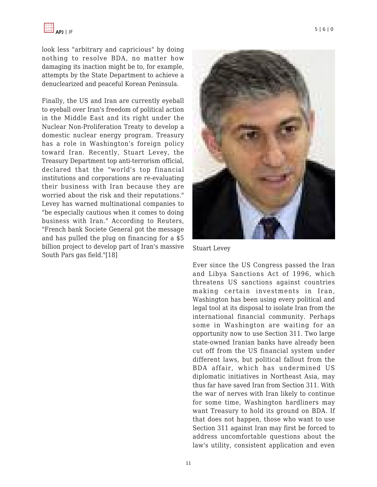look less "arbitrary and capricious" by doing nothing to resolve BDA, no matter how damaging its inaction might be to, for example, attempts by the State Department to achieve a denuclearized and peaceful Korean Peninsula.

Finally, the US and Iran are currently eyeball to eyeball over Iran's freedom of political action in the Middle East and its right under the Nuclear Non-Proliferation Treaty to develop a domestic nuclear energy program. Treasury has a role in Washington's foreign policy toward Iran. Recently, Stuart Levey, the Treasury Department top anti-terrorism official, declared that the "world's top financial institutions and corporations are re-evaluating their business with Iran because they are worried about the risk and their reputations." Levey has warned multinational companies to "be especially cautious when it comes to doing business with Iran." According to Reuters, "French bank Societe General got the message and has pulled the plug on financing for a \$5 billion project to develop part of Iran's massive South Pars gas field."[18]



Stuart Levey

Ever since the US Congress passed the Iran and Libya Sanctions Act of 1996, which threatens US sanctions against countries making certain investments in Iran, Washington has been using every political and legal tool at its disposal to isolate Iran from the international financial community. Perhaps some in Washington are waiting for an opportunity now to use Section 311. Two large state-owned Iranian banks have already been cut off from the US financial system under different laws, but political fallout from the BDA affair, which has undermined US diplomatic initiatives in Northeast Asia, may thus far have saved Iran from Section 311. With the war of nerves with Iran likely to continue for some time, Washington hardliners may want Treasury to hold its ground on BDA. If that does not happen, those who want to use Section 311 against Iran may first be forced to address uncomfortable questions about the law's utility, consistent application and even

11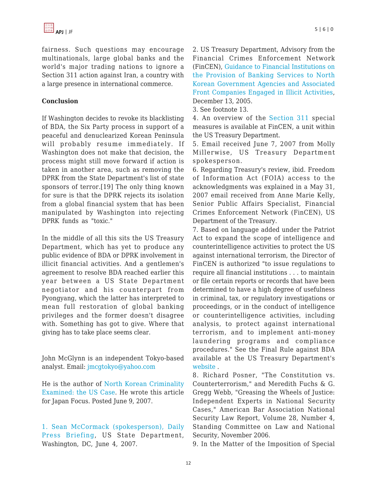fairness. Such questions may encourage multinationals, large global banks and the world's major trading nations to ignore a Section 311 action against Iran, a country with a large presence in international commerce.

# **Conclusion**

If Washington decides to revoke its blacklisting of BDA, the Six Party process in support of a peaceful and denuclearized Korean Peninsula will probably resume immediately. If Washington does not make that decision, the process might still move forward if action is taken in another area, such as removing the DPRK from the State Department's list of state sponsors of terror.[19] The only thing known for sure is that the DPRK rejects its isolation from a global financial system that has been manipulated by Washington into rejecting DPRK funds as "toxic."

In the middle of all this sits the US Treasury Department, which has yet to produce any public evidence of BDA or DPRK involvement in illicit financial activities. And a gentlemen's agreement to resolve BDA reached earlier this year between a US State Department negotiator and his counterpart from Pyongyang, which the latter has interpreted to mean full restoration of global banking privileges and the former doesn't disagree with. Something has got to give. Where that giving has to take place seems clear.

John McGlynn is an independent Tokyo-based analyst. Email[: jmcgtokyo@yahoo.com](https://apjjf.org/mailto: jmcgtokyo@yahoo.com)

He is the author of [North Korean Criminality](http://japanfocus.org/products/details/2423) [Examined: the US Case](http://japanfocus.org/products/details/2423). He wrote this article for Japan Focus. Posted June 9, 2007.

[1. Sean McCormack \(spokesperson\),](http://www.delta-asia.com/eng/index.asp) [Daily](http://www.state.gov/r/pa/prs/dpb/2007/jun/85955.htm) [Press Briefing,](http://www.state.gov/r/pa/prs/dpb/2007/jun/85955.htm) US State Department, Washington, DC, June 4, 2007.

2. US Treasury Department, Advisory from the Financial Crimes Enforcement Network (FinCEN), [Guidance to Financial Institutions on](http://www.fincen.gov/advisory.html) [the Provision of Banking Services to North](http://www.fincen.gov/advisory.html) [Korean Government Agencies and Associated](http://www.fincen.gov/advisory.html) [Front Companies Engaged in Illicit Activities,](http://www.fincen.gov/advisory.html) December 13, 2005.

3. See footnote 13.

4. An overview of the [Section 311 s](http://www.fincen.gov/reg_section311.html)pecial measures is available at FinCEN, a unit within the US Treasury Department.

5. Email received June 7, 2007 from Molly Millerwise, US Treasury Department spokesperson.

6. Regarding Treasury's review, ibid. Freedom of Information Act (FOIA) access to the acknowledgments was explained in a May 31, 2007 email received from Anne Marie Kelly, Senior Public Affairs Specialist, Financial Crimes Enforcement Network (FinCEN), US Department of the Treasury.

7. Based on language added under the Patriot Act to expand the scope of intelligence and counterintelligence activities to protect the US against international terrorism, the Director of FinCEN is authorized "to issue regulations to require all financial institutions . . . to maintain or file certain reports or records that have been determined to have a high degree of usefulness in criminal, tax, or regulatory investigations or proceedings, or in the conduct of intelligence or counterintelligence activities, including analysis, to protect against international terrorism, and to implement anti-money laundering programs and compliance procedures." See the Final Rule against BDA available at the US Treasury Department's [website](http://www.fincen.gov/reg_section311.html) .

8. Richard Posner, "The Constitution vs. Counterterrorism," and Meredith Fuchs & G. Gregg Webb, "Greasing the Wheels of Justice: Independent Experts in National Security Cases," American Bar Association National Security Law Report, Volume 28, Number 4, Standing Committee on Law and National Security, November 2006.

9. In the Matter of the Imposition of Special